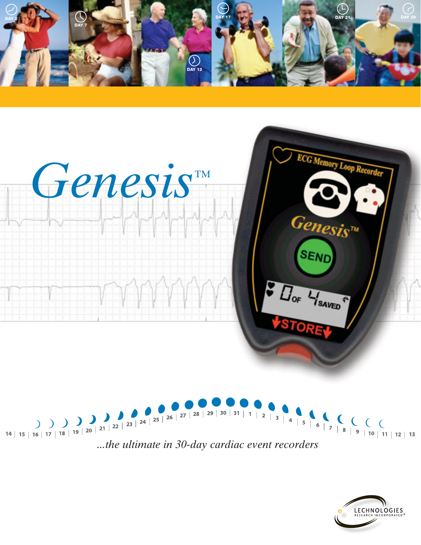





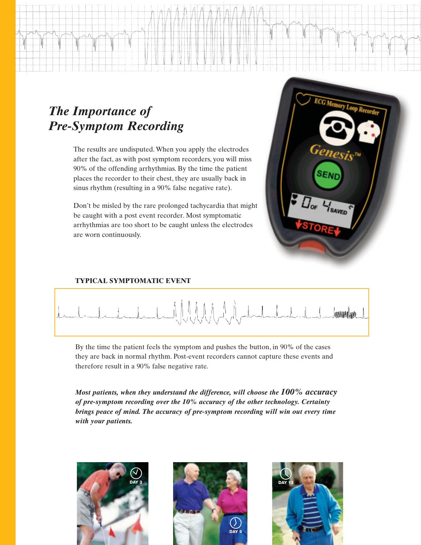## *The Importance of Pre-Symptom Recording*

The results are undisputed. When you apply the electrodes after the fact, as with post symptom recorders, you will miss 90% of the offending arrhythmias. By the time the patient places the recorder to their chest, they are usually back in sinus rhythm (resulting in a 90% false negative rate).

Don't be misled by the rare prolonged tachycardia that might be caught with a post event recorder. Most symptomatic arrhythmias are too short to be caught unless the electrodes are worn continuously.



#### **TYPICAL SYMPTOMATIC EVENT**



By the time the patient feels the symptom and pushes the button, in 90% of the cases they are back in normal rhythm. Post-event recorders cannot capture these events and therefore result in a 90% false negative rate.

*Most patients, when they understand the difference, will choose the 100% accuracy of pre-symptom recording over the 10% accuracy of the other technology. Certainty brings peace of mind. The accuracy of pre-symptom recording will win out every time with your patients.*

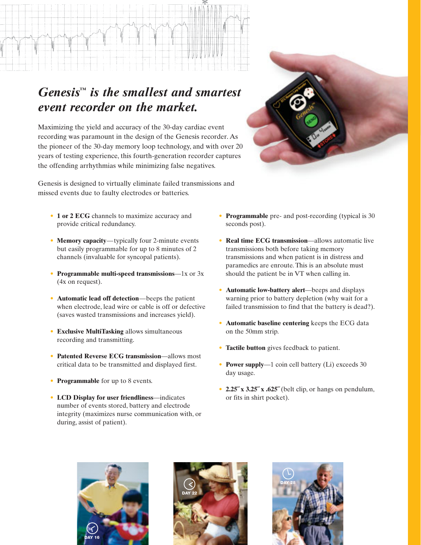## *Genesis™ is the smallest and smartest event recorder on the market.*

Maximizing the yield and accuracy of the 30-day cardiac event recording was paramount in the design of the Genesis recorder. As the pioneer of the 30-day memory loop technology, and with over 20 years of testing experience, this fourth-generation recorder captures the offending arrhythmias while minimizing false negatives.

Genesis is designed to virtually eliminate failed transmissions and missed events due to faulty electrodes or batteries.

- **1 or 2 ECG** channels to maximize accuracy and provide critical redundancy.
- **Memory capacity**—typically four 2-minute events but easily programmable for up to 8 minutes of 2 channels (invaluable for syncopal patients).
- **Programmable multi-speed transmissions**—1x or 3x (4x on request).
- **Automatic lead off detection**—beeps the patient when electrode, lead wire or cable is off or defective (saves wasted transmissions and increases yield).
- **Exclusive MultiTasking** allows simultaneous recording and transmitting.
- **Patented Reverse ECG transmission**—allows most critical data to be transmitted and displayed first.
- **Programmable** for up to 8 events.
- **LCD Display for user friendliness**—indicates number of events stored, battery and electrode integrity (maximizes nurse communication with, or during, assist of patient).
- **Programmable** pre- and post-recording (typical is 30 seconds post).
- **Real time ECG transmission**—allows automatic live transmissions both before taking memory transmissions and when patient is in distress and paramedics are enroute. This is an absolute must should the patient be in VT when calling in.
- **Automatic low-battery alert**—beeps and displays warning prior to battery depletion (why wait for a failed transmission to find that the battery is dead?).
- **Automatic baseline centering** keeps the ECG data on the 50mm strip.
- **Tactile button** gives feedback to patient.
- **Power supply**—1 coin cell battery (Li) exceeds 30 day usage.
- **2.25˝ x 3.25˝ x .625˝** (belt clip, or hangs on pendulum, or fits in shirt pocket).